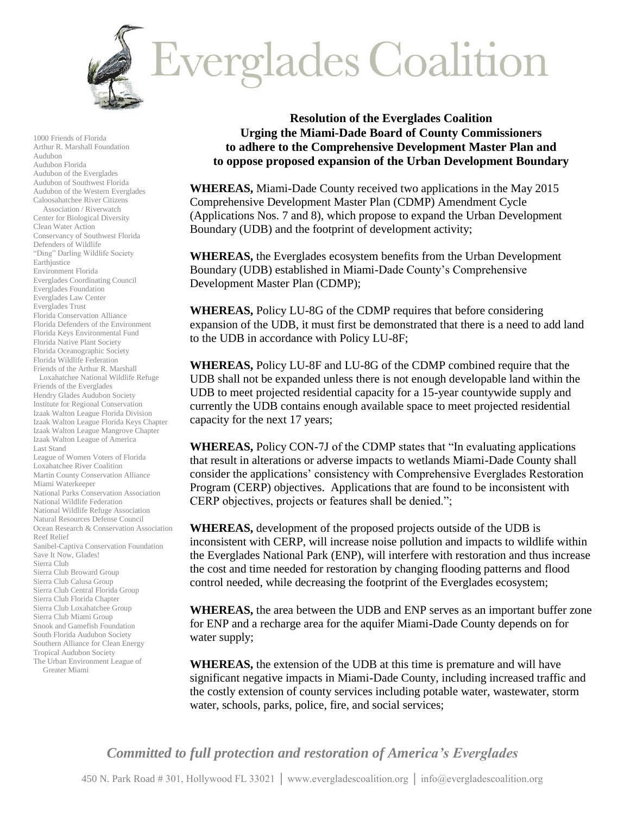

1000 Friends of Florida Arthur R. Marshall Foundation Audubon Audubon Florida Audubon of the Everglades Audubon of Southwest Florida Audubon of the Western Everglades Caloosahatchee River Citizens Association / Riverwatch Center for Biological Diversity Clean Water Action Conservancy of Southwest Florida Defenders of Wildlife "Ding" Darling Wildlife Society Earthjustice Environment Florida Everglades Coordinating Council Everglades Foundation Everglades Law Center Everglades Trust Florida Conservation Alliance Florida Defenders of the Environment Florida Keys Environmental Fund Florida Native Plant Society Florida Oceanographic Society Florida Wildlife Federation Friends of the Arthur R. Marshall Loxahatchee National Wildlife Refuge Friends of the Everglades Hendry Glades Audubon Society Institute for Regional Conservation Izaak Walton League Florida Division Izaak Walton League Florida Keys Chapter Izaak Walton League Mangrove Chapter Izaak Walton League of America Last Stand League of Women Voters of Florida Loxahatchee River Coalition Martin County Conservation Alliance Miami Waterkeeper National Parks Conservation Association National Wildlife Federation National Wildlife Refuge Association Natural Resources Defense Council Ocean Research & Conservation Association Reef Relief Sanibel-Captiva Conservation Foundation Save It Now, Glades! Sierra Club Sierra Club Broward Group Sierra Club Calusa Group Sierra Club Central Florida Group Sierra Club Florida Chapter Sierra Club Loxahatchee Group Sierra Club Miami Group Snook and Gamefish Foundation South Florida Audubon Society Southern Alliance for Clean Energy Tropical Audubon Society The Urban Environment League of Greater Miami

**Resolution of the Everglades Coalition Urging the Miami-Dade Board of County Commissioners to adhere to the Comprehensive Development Master Plan and to oppose proposed expansion of the Urban Development Boundary**

**WHEREAS,** Miami-Dade County received two applications in the May 2015 Comprehensive Development Master Plan (CDMP) Amendment Cycle (Applications Nos. 7 and 8), which propose to expand the Urban Development Boundary (UDB) and the footprint of development activity;

**WHEREAS,** the Everglades ecosystem benefits from the Urban Development Boundary (UDB) established in Miami-Dade County's Comprehensive Development Master Plan (CDMP);

**WHEREAS,** Policy LU-8G of the CDMP requires that before considering expansion of the UDB, it must first be demonstrated that there is a need to add land to the UDB in accordance with Policy LU-8F;

**WHEREAS,** Policy LU-8F and LU-8G of the CDMP combined require that the UDB shall not be expanded unless there is not enough developable land within the UDB to meet projected residential capacity for a 15-year countywide supply and currently the UDB contains enough available space to meet projected residential capacity for the next 17 years;

**WHEREAS,** Policy CON-7J of the CDMP states that "In evaluating applications that result in alterations or adverse impacts to wetlands Miami-Dade County shall consider the applications' consistency with Comprehensive Everglades Restoration Program (CERP) objectives. Applications that are found to be inconsistent with CERP objectives, projects or features shall be denied.";

**WHEREAS,** development of the proposed projects outside of the UDB is inconsistent with CERP, will increase noise pollution and impacts to wildlife within the Everglades National Park (ENP), will interfere with restoration and thus increase the cost and time needed for restoration by changing flooding patterns and flood control needed, while decreasing the footprint of the Everglades ecosystem;

**WHEREAS,** the area between the UDB and ENP serves as an important buffer zone for ENP and a recharge area for the aquifer Miami-Dade County depends on for water supply;

**WHEREAS,** the extension of the UDB at this time is premature and will have significant negative impacts in Miami-Dade County, including increased traffic and the costly extension of county services including potable water, wastewater, storm water, schools, parks, police, fire, and social services;

*Committed to full protection and restoration of America's Everglades*